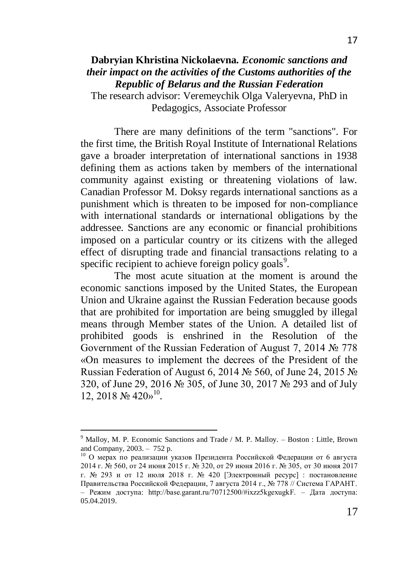## **Dabryian Khristina Nickolaevna.** *Economic sanctions and their impact on the activities of the Customs authorities of the Republic of Belarus and the Russian Federation*

The research advisor: Veremeychik Olga Valeryevna, PhD in Pedagogics, Associate Professor

There are many definitions of the term "sanctions". For the first time, the British Royal Institute of International Relations gave a broader interpretation of international sanctions in 1938 defining them as actions taken by members of the international community against existing or threatening violations of law. Canadian Professor M. Doksy regards international sanctions as a punishment which is threaten to be imposed for non-compliance with international standards or international obligations by the addressee. Sanctions are any economic or financial prohibitions imposed on a particular country or its citizens with the alleged effect of disrupting trade and financial transactions relating to a specific recipient to achieve foreign policy goals<sup>9</sup>.

The most acute situation at the moment is around the economic sanctions imposed by the United States, the European Union and Ukraine against the Russian Federation because goods that are prohibited for importation are being smuggled by illegal means through Member states of the Union. A detailed list of prohibited goods is enshrined in the Resolution of the Government of the Russian Federation of August 7, 2014 № 778 «On measures to implement the decrees of the President of the Russian Federation of August 6, 2014 № 560, of June 24, 2015 № 320, of June 29, 2016 № 305, of June 30, 2017 № 293 and of July 12, 2018  $\mathbb{N}$ <sup>0</sup> 420<sup> $10$ </sup>.

1

 $9$  Malloy, M. P. Economic Sanctions and Trade / M. P. Malloy. – Boston : Little, Brown and Company, 2003. – 752 p.

<sup>10</sup> О мерах по реализации указов Президента Российской Федерации от 6 августа 2014 г. № 560, от 24 июня 2015 г. № 320, от 29 июня 2016 г. № 305, от 30 июня 2017 г. № 293 и от 12 июля 2018 г. № 420 [Электронный ресурс] : постановление Правительства Российской Федерации, 7 августа 2014 г., № 778 // Система ГАРАНТ. – Режим доступа: http://base.garant.ru/70712500/#ixzz5kgexugkF. – Дата доступа: 05.04.2019.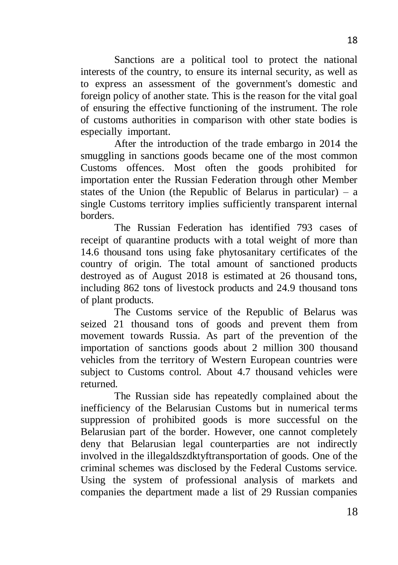Sanctions are a political tool to protect the national interests of the country, to ensure its internal security, as well as to express an assessment of the government's domestic and foreign policy of another state. This is the reason for the vital goal of ensuring the effective functioning of the instrument. The role of customs authorities in comparison with other state bodies is especially important.

After the introduction of the trade embargo in 2014 the smuggling in sanctions goods became one of the most common Customs offences. Most often the goods prohibited for importation enter the Russian Federation through other Member states of the Union (the Republic of Belarus in particular) – a single Customs territory implies sufficiently transparent internal borders.

The Russian Federation has identified 793 cases of receipt of quarantine products with a total weight of more than 14.6 thousand tons using fake phytosanitary certificates of the country of origin. The total amount of sanctioned products destroyed as of August 2018 is estimated at 26 thousand tons, including 862 tons of livestock products and 24.9 thousand tons of plant products.

The Customs service of the Republic of Belarus was seized 21 thousand tons of goods and prevent them from movement towards Russia. As part of the prevention of the importation of sanctions goods about 2 million 300 thousand vehicles from the territory of Western European countries were subject to Customs control. About 4.7 thousand vehicles were returned.

The Russian side has repeatedly complained about the inefficiency of the Belarusian Customs but in numerical terms suppression of prohibited goods is more successful on the Belarusian part of the border. However, one cannot completely deny that Belarusian legal counterparties are not indirectly involved in the illegaldszdktyftransportation of goods. One of the criminal schemes was disclosed by the Federal Customs service. Using the system of professional analysis of markets and companies the department made a list of 29 Russian companies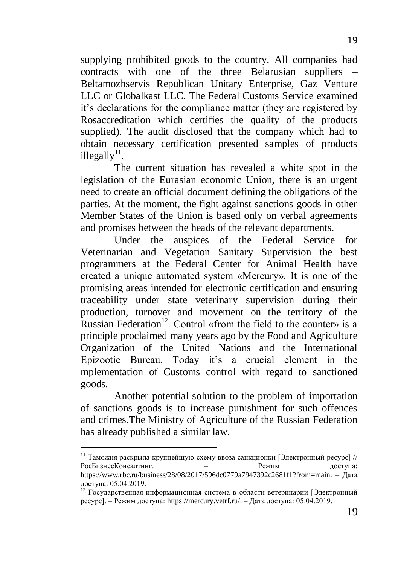supplying prohibited goods to the country. All companies had contracts with one of the three Belarusian suppliers – Beltamozhservis Republican Unitary Enterprise, Gaz Venture LLC or Globalkast LLC. The Federal Customs Service examined it's declarations for the compliance matter (they are registered by Rosaccreditation which certifies the quality of the products supplied). The audit disclosed that the company which had to obtain necessary certification presented samples of products illegally $^{11}$ .

The current situation has revealed a white spot in the legislation of the Eurasian economic Union, there is an urgent need to create an official document defining the obligations of the parties. At the moment, the fight against sanctions goods in other Member States of the Union is based only on verbal agreements and promises between the heads of the relevant departments.

Under the auspices of the Federal Service for Veterinarian and Vegetation Sanitary Supervision the best programmers at the Federal Center for Animal Health have created a unique automated system «Mercury». It is one of the promising areas intended for electronic certification and ensuring traceability under state veterinary supervision during their production, turnover and movement on the territory of the Russian Federation<sup>12</sup>. Control «from the field to the counter» is a principle proclaimed many years ago by the Food and Agriculture Organization of the United Nations and the International Epizootic Bureau. Today it's a crucial element in the mplementation of Customs control with regard to sanctioned goods.

Another potential solution to the problem of importation of sanctions goods is to increase punishment for such offences and crimes.The Ministry of Agriculture of the Russian Federation has already published a similar law.

 $\ddot{\phantom{a}}$ 

 $11$  Таможня раскрыла крупнейшую схему ввоза санкционки [Электронный ресурс] // РосБизнесКонсалтинг. – Режим доступа: https://www.rbc.ru/business/28/08/2017/596dc0779a7947392c2681f1?from=main. – Дата доступа: 05.04.2019.

<sup>12</sup> Государственная информационная система в области ветеринарии [Электронный ресурс]. – Режим доступа[: https://mercury.vetrf.ru/.](https://mercury.vetrf.ru/) – Дата доступа: 05.04.2019.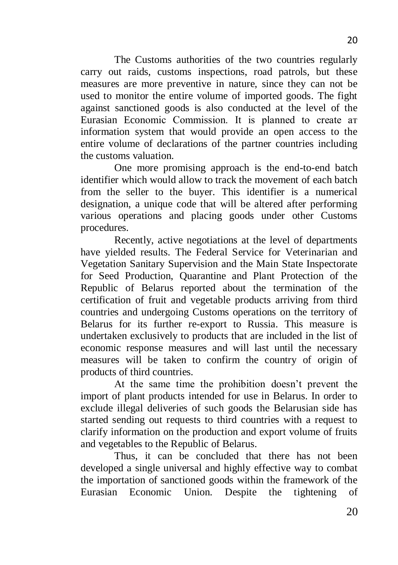The Customs authorities of the two countries regularly carry out raids, customs inspections, road patrols, but these measures are more preventive in nature, since they can not be used to monitor the entire volume of imported goods. The fight against sanctioned goods is also conducted at the level of the Eurasian Economic Commission. It is planned to create aт information system that would provide an open access to the entire volume of declarations of the partner countries including the customs valuation.

One more promising approach is the end-to-end batch identifier which would allow to track the movement of each batch from the seller to the buyer. This identifier is a numerical designation, a unique code that will be altered after performing various operations and placing goods under other Customs procedures.

Recently, active negotiations at the level of departments have yielded results. The Federal Service for Veterinarian and Vegetation Sanitary Supervision and the Main State Inspectorate for Seed Production, Quarantine and Plant Protection of the Republic of Belarus reported about the termination of the certification of fruit and vegetable products arriving from third countries and undergoing Customs operations on the territory of Belarus for its further re-export to Russia. This measure is undertaken exclusively to products that are included in the list of economic response measures and will last until the necessary measures will be taken to confirm the country of origin of products of third countries.

At the same time the prohibition doesn't prevent the import of plant products intended for use in Belarus. In order to exclude illegal deliveries of such goods the Belarusian side has started sending out requests to third countries with a request to clarify information on the production and export volume of fruits and vegetables to the Republic of Belarus.

Thus, it can be concluded that there has not been developed a single universal and highly effective way to combat the importation of sanctioned goods within the framework of the Eurasian Economic Union. Despite the tightening of